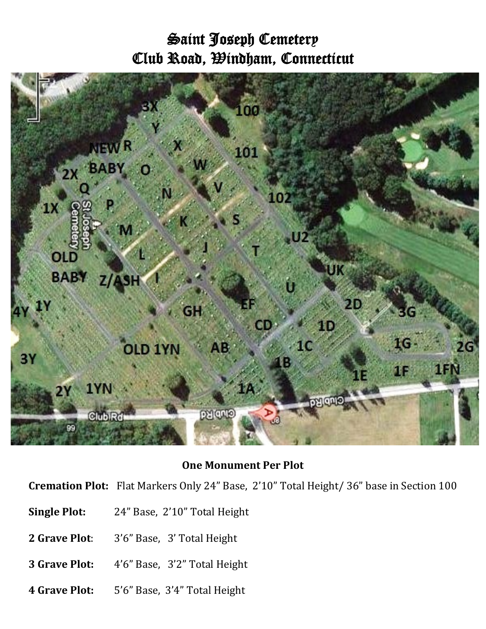## Saint Joseph Cemetery Club Road, Windham, Connecticut



## **One Monument Per Plot**

**Cremation Plot:** Flat Markers Only 24" Base, 2'10" Total Height/ 36" base in Section 100

- **Single Plot:** 24" Base, 2'10" Total Height
- **2 Grave Plot**: 3'6" Base, 3' Total Height
- **3 Grave Plot:** 4'6" Base, 3'2" Total Height
- **4 Grave Plot:** 5'6" Base, 3'4" Total Height